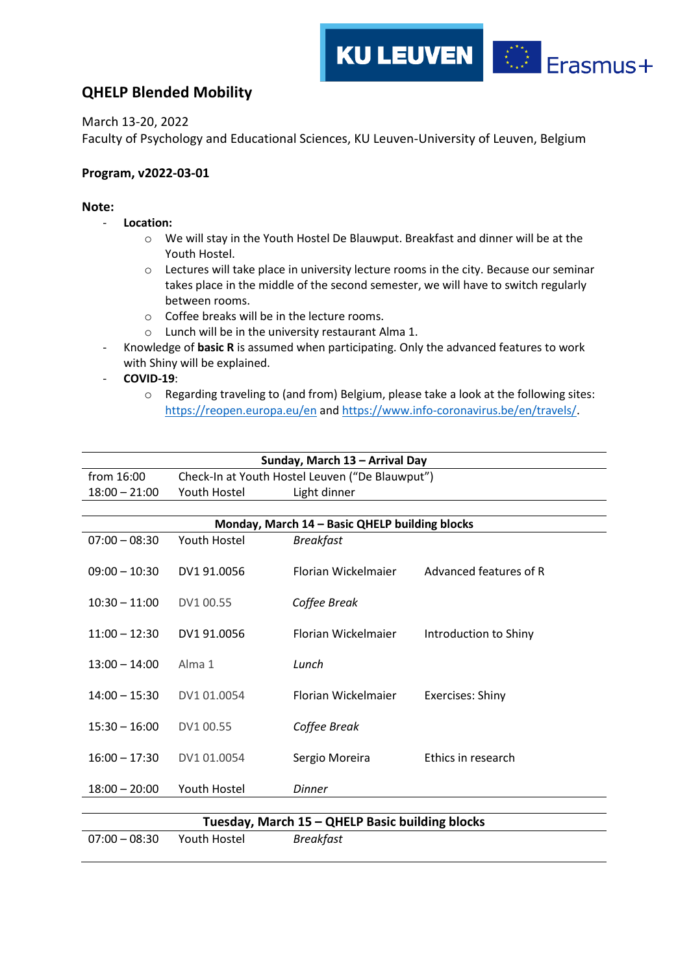## **QHELP Blended Mobility**

March 13-20, 2022

Faculty of Psychology and Educational Sciences, KU Leuven-University of Leuven, Belgium

## **Program, v2022-03-01**

## **Note:**

- **Location:**
	- o We will stay in the Youth Hostel De Blauwput. Breakfast and dinner will be at the Youth Hostel.

**KU LEUVEN** 

 $\begin{array}{cc} \star^{\star}\star\star_{\star}\\ \star&\star\\ \star_{\star\downarrow}\star \end{array}$ 

Erasmus+

- o Lectures will take place in university lecture rooms in the city. Because our seminar takes place in the middle of the second semester, we will have to switch regularly between rooms.
- o Coffee breaks will be in the lecture rooms.
- o Lunch will be in the university restaurant Alma 1.
- Knowledge of **basic R** is assumed when participating. Only the advanced features to work with Shiny will be explained.
- **COVID-19**:
	- o Regarding traveling to (and from) Belgium, please take a look at the following sites: <https://reopen.europa.eu/en> an[d https://www.info-coronavirus.be/en/travels/.](https://www.info-coronavirus.be/en/travels/)

|                 |                     | Sunday, March 13 - Arrival Day                  |                         |
|-----------------|---------------------|-------------------------------------------------|-------------------------|
| from 16:00      |                     | Check-In at Youth Hostel Leuven ("De Blauwput") |                         |
| $18:00 - 21:00$ | Youth Hostel        | Light dinner                                    |                         |
|                 |                     |                                                 |                         |
|                 |                     | Monday, March 14 - Basic QHELP building blocks  |                         |
| $07:00 - 08:30$ | Youth Hostel        | <b>Breakfast</b>                                |                         |
|                 |                     |                                                 |                         |
| $09:00 - 10:30$ | DV1 91.0056         | Florian Wickelmaier                             | Advanced features of R  |
|                 |                     |                                                 |                         |
| $10:30 - 11:00$ | DV1 00.55           | Coffee Break                                    |                         |
| $11:00 - 12:30$ | DV1 91.0056         | Florian Wickelmaier                             | Introduction to Shiny   |
|                 |                     |                                                 |                         |
| $13:00 - 14:00$ | Alma 1              | Lunch                                           |                         |
|                 |                     |                                                 |                         |
| $14:00 - 15:30$ | DV1 01.0054         | <b>Florian Wickelmajer</b>                      | <b>Exercises: Shiny</b> |
|                 |                     |                                                 |                         |
| $15:30 - 16:00$ | DV1 00.55           | Coffee Break                                    |                         |
|                 |                     |                                                 |                         |
| $16:00 - 17:30$ | DV1 01.0054         | Sergio Moreira                                  | Ethics in research      |
|                 |                     |                                                 |                         |
| $18:00 - 20:00$ | Youth Hostel        | <b>Dinner</b>                                   |                         |
|                 |                     |                                                 |                         |
|                 |                     | Tuesday, March 15 - QHELP Basic building blocks |                         |
| $07:00 - 08:30$ | <b>Youth Hostel</b> | <b>Breakfast</b>                                |                         |
|                 |                     |                                                 |                         |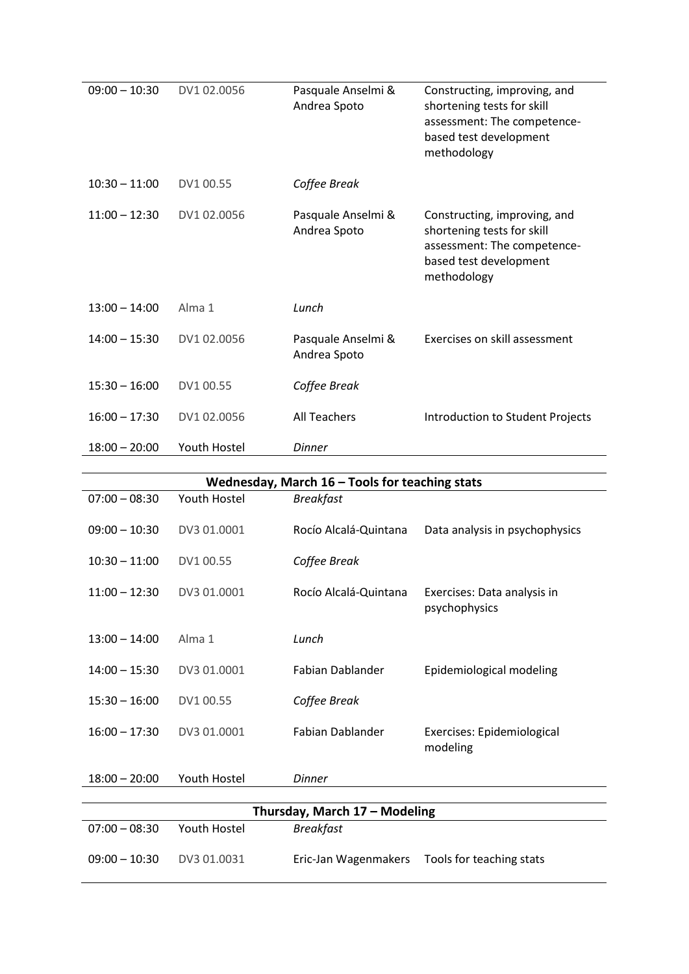| $09:00 - 10:30$ | DV1 02.0056  | Pasquale Anselmi &<br>Andrea Spoto | Constructing, improving, and<br>shortening tests for skill<br>assessment: The competence-<br>based test development<br>methodology |
|-----------------|--------------|------------------------------------|------------------------------------------------------------------------------------------------------------------------------------|
| $10:30 - 11:00$ | DV1 00.55    | Coffee Break                       |                                                                                                                                    |
| $11:00 - 12:30$ | DV1 02.0056  | Pasquale Anselmi &<br>Andrea Spoto | Constructing, improving, and<br>shortening tests for skill<br>assessment: The competence-<br>based test development<br>methodology |
| $13:00 - 14:00$ | Alma 1       | Lunch                              |                                                                                                                                    |
| $14:00 - 15:30$ | DV1 02.0056  | Pasquale Anselmi &<br>Andrea Spoto | Exercises on skill assessment                                                                                                      |
| $15:30 - 16:00$ | DV1 00.55    | Coffee Break                       |                                                                                                                                    |
| $16:00 - 17:30$ | DV1 02.0056  | <b>All Teachers</b>                | Introduction to Student Projects                                                                                                   |
| $18:00 - 20:00$ | Youth Hostel | <b>Dinner</b>                      |                                                                                                                                    |

|                 |                     | Wednesday, March $16$ – Tools for teaching stats |                                              |
|-----------------|---------------------|--------------------------------------------------|----------------------------------------------|
| $07:00 - 08:30$ | <b>Youth Hostel</b> | <b>Breakfast</b>                                 |                                              |
| $09:00 - 10:30$ | DV3 01,0001         | Rocío Alcalá-Quintana                            | Data analysis in psychophysics               |
| $10:30 - 11:00$ | DV1 00.55           | Coffee Break                                     |                                              |
| $11:00 - 12:30$ | DV3 01.0001         | Rocío Alcalá-Quintana                            | Exercises: Data analysis in<br>psychophysics |
| $13:00 - 14:00$ | Alma 1              | Lunch                                            |                                              |
| $14:00 - 15:30$ | DV3 01.0001         | Fabian Dablander                                 | Epidemiological modeling                     |
| $15:30 - 16:00$ | DV1 00.55           | Coffee Break                                     |                                              |
| $16:00 - 17:30$ | DV3 01.0001         | <b>Fabian Dablander</b>                          | Exercises: Epidemiological<br>modeling       |
| $18:00 - 20:00$ | Youth Hostel        | <b>Dinner</b>                                    |                                              |
|                 |                     |                                                  |                                              |
|                 |                     | Thursday, March 17 - Modeling                    |                                              |
| $07:00 - 08:30$ | <b>Youth Hostel</b> | <b>Breakfast</b>                                 |                                              |
| $09:00 - 10:30$ | DV3 01.0031         | Eric-Jan Wagenmakers                             | Tools for teaching stats                     |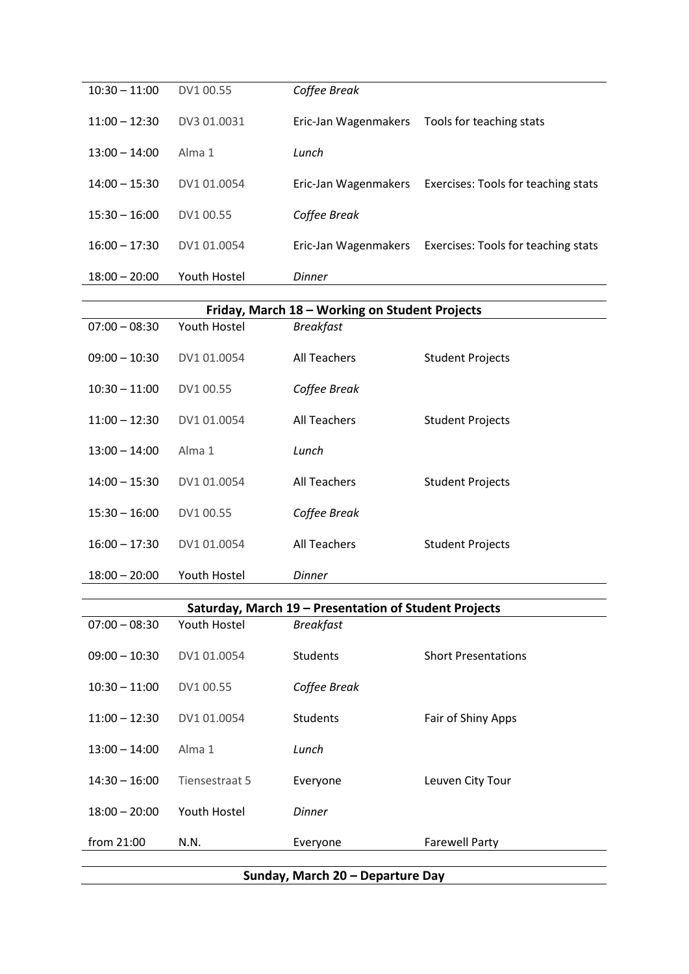| $10:30 - 11:00$ | DV1 00.55      | Coffee Break                                          |                                     |
|-----------------|----------------|-------------------------------------------------------|-------------------------------------|
| $11:00 - 12:30$ | DV3 01.0031    | Eric-Jan Wagenmakers                                  | Tools for teaching stats            |
| $13:00 - 14:00$ | Alma 1         | Lunch                                                 |                                     |
| $14:00 - 15:30$ | DV1 01.0054    | Eric-Jan Wagenmakers                                  | Exercises: Tools for teaching stats |
| $15:30 - 16:00$ | DV1 00.55      | Coffee Break                                          |                                     |
| $16:00 - 17:30$ | DV1 01.0054    | Eric-Jan Wagenmakers                                  | Exercises: Tools for teaching stats |
| $18:00 - 20:00$ | Youth Hostel   | <b>Dinner</b>                                         |                                     |
|                 |                | Friday, March 18 - Working on Student Projects        |                                     |
| $07:00 - 08:30$ | Youth Hostel   | <b>Breakfast</b>                                      |                                     |
|                 |                |                                                       |                                     |
| $09:00 - 10:30$ | DV1 01.0054    | All Teachers                                          | <b>Student Projects</b>             |
| $10:30 - 11:00$ | DV1 00.55      | Coffee Break                                          |                                     |
| $11:00 - 12:30$ | DV1 01.0054    | <b>All Teachers</b>                                   | <b>Student Projects</b>             |
| $13:00 - 14:00$ | Alma 1         | Lunch                                                 |                                     |
| $14:00 - 15:30$ | DV1 01.0054    | <b>All Teachers</b>                                   | <b>Student Projects</b>             |
| $15:30 - 16:00$ | DV1 00.55      | Coffee Break                                          |                                     |
| $16:00 - 17:30$ | DV1 01.0054    | <b>All Teachers</b>                                   | <b>Student Projects</b>             |
| $18:00 - 20:00$ | Youth Hostel   | <b>Dinner</b>                                         |                                     |
|                 |                | Saturday, March 19 - Presentation of Student Projects |                                     |
| $07:00 - 08:30$ | Youth Hostel   | <b>Breakfast</b>                                      |                                     |
| $09:00 - 10:30$ | DV1 01.0054    | Students                                              | <b>Short Presentations</b>          |
| $10:30 - 11:00$ | DV1 00.55      | Coffee Break                                          |                                     |
| $11:00 - 12:30$ | DV1 01.0054    | Students                                              | Fair of Shiny Apps                  |
| $13:00 - 14:00$ | Alma 1         | Lunch                                                 |                                     |
| $14:30 - 16:00$ | Tiensestraat 5 | Everyone                                              | Leuven City Tour                    |
| $18:00 - 20:00$ | Youth Hostel   | <b>Dinner</b>                                         |                                     |
| from 21:00      | N.N.           | Everyone                                              | <b>Farewell Party</b>               |
|                 |                |                                                       |                                     |
|                 |                | Sunday, March 20 - Departure Day                      |                                     |